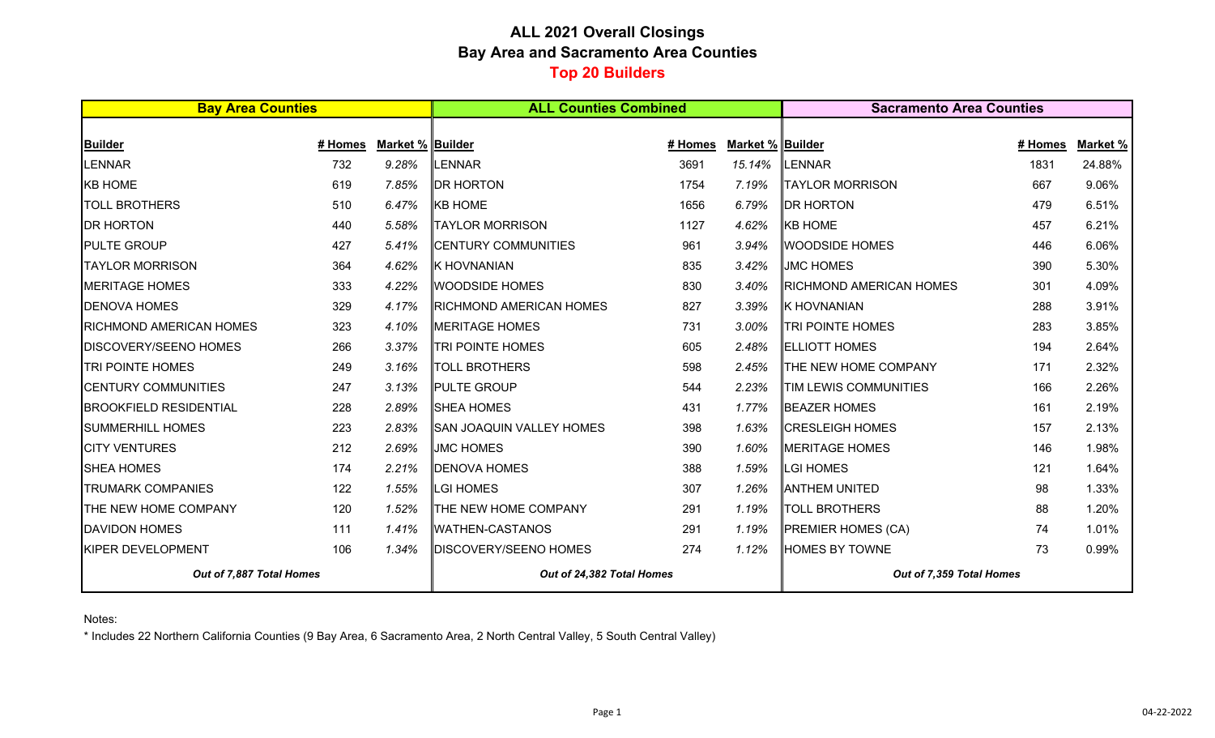## **ALL 2021 Overall Closings Bay Area and Sacramento Area Counties Top 20 Builders**

| <b>Bay Area Counties</b>                 |         |                  | <b>ALL Counties Combined</b>                 |         |                  | <b>Sacramento Area Counties</b>      |         |          |  |
|------------------------------------------|---------|------------------|----------------------------------------------|---------|------------------|--------------------------------------|---------|----------|--|
|                                          |         |                  |                                              |         |                  |                                      |         |          |  |
| Builder                                  | # Homes | Market % Builder |                                              | # Homes | Market % Builder |                                      | # Homes | Market % |  |
| LENNAR                                   | 732     | 9.28%            | LENNAR                                       | 3691    | 15.14%           | LENNAR                               | 1831    | 24.88%   |  |
| <b>KB HOME</b>                           | 619     | 7.85%            | <b>DR HORTON</b>                             | 1754    | 7.19%            | <b>TAYLOR MORRISON</b>               | 667     | 9.06%    |  |
| <b>TOLL BROTHERS</b>                     | 510     | 6.47%            | <b>KB HOME</b>                               | 1656    | 6.79%            | <b>DR HORTON</b>                     | 479     | 6.51%    |  |
| <b>DR HORTON</b>                         | 440     | 5.58%            | <b>TAYLOR MORRISON</b>                       | 1127    | 4.62%            | <b>KB HOME</b>                       | 457     | 6.21%    |  |
| <b>PULTE GROUP</b>                       | 427     | 5.41%            | <b>CENTURY COMMUNITIES</b>                   | 961     | 3.94%            | <b>WOODSIDE HOMES</b>                | 446     | 6.06%    |  |
| <b>TAYLOR MORRISON</b>                   | 364     | 4.62%            | <b>K HOVNANIAN</b>                           | 835     | 3.42%            | <b>JMC HOMES</b>                     | 390     | 5.30%    |  |
| <b>MERITAGE HOMES</b>                    | 333     | 4.22%            | <b>WOODSIDE HOMES</b>                        | 830     | 3.40%            | <b>RICHMOND AMERICAN HOMES</b>       | 301     | 4.09%    |  |
| <b>DENOVA HOMES</b>                      | 329     | 4.17%            | <b>RICHMOND AMERICAN HOMES</b>               | 827     | 3.39%            | <b>K HOVNANIAN</b>                   | 288     | 3.91%    |  |
| <b>RICHMOND AMERICAN HOMES</b>           | 323     | 4.10%            | MERITAGE HOMES                               | 731     | 3.00%            | <b>TRI POINTE HOMES</b>              | 283     | 3.85%    |  |
| <b>DISCOVERY/SEENO HOMES</b>             | 266     | 3.37%            | <b>TRI POINTE HOMES</b>                      | 605     | 2.48%            | <b>IELLIOTT HOMES</b>                | 194     | 2.64%    |  |
| <b>TRI POINTE HOMES</b>                  | 249     | 3.16%            | <b>TOLL BROTHERS</b>                         | 598     | 2.45%            | THE NEW HOME COMPANY                 | 171     | 2.32%    |  |
| <b>CENTURY COMMUNITIES</b>               | 247     | 3.13%            | <b>PULTE GROUP</b>                           | 544     | 2.23%            | TIM LEWIS COMMUNITIES                | 166     | 2.26%    |  |
| <b>BROOKFIELD RESIDENTIAL</b>            | 228     | 2.89%            | <b>SHEA HOMES</b>                            | 431     | 1.77%            | <b>BEAZER HOMES</b>                  | 161     | 2.19%    |  |
| <b>SUMMERHILL HOMES</b>                  | 223     | 2.83%            | SAN JOAQUIN VALLEY HOMES                     | 398     | 1.63%            | <b>CRESLEIGH HOMES</b>               | 157     | 2.13%    |  |
| <b>CITY VENTURES</b>                     | 212     | 2.69%            | <b>JMC HOMES</b>                             | 390     | 1.60%            | <b>MERITAGE HOMES</b>                | 146     | 1.98%    |  |
| <b>SHEA HOMES</b>                        | 174     | 2.21%            | <b>DENOVA HOMES</b>                          | 388     | 1.59%            | LGI HOMES                            | 121     | 1.64%    |  |
| <b>TRUMARK COMPANIES</b>                 | 122     | 1.55%            | <b>LGI HOMES</b>                             | 307     | 1.26%            | <b>ANTHEM UNITED</b>                 | 98      | 1.33%    |  |
| THE NEW HOME COMPANY                     | 120     | 1.52%            | <b>THE NEW HOME COMPANY</b>                  | 291     | 1.19%            | <b>TOLL BROTHERS</b>                 | 88      | 1.20%    |  |
| <b>DAVIDON HOMES</b>                     | 111     | 1.41%            | <b>WATHEN-CASTANOS</b>                       | 291     | 1.19%            | <b>PREMIER HOMES (CA)</b>            | 74      | 1.01%    |  |
| <b>KIPER DEVELOPMENT</b><br>106<br>1.34% |         |                  | <b>DISCOVERY/SEENO HOMES</b><br>274<br>1.12% |         |                  | <b>HOMES BY TOWNE</b><br>73<br>0.99% |         |          |  |
| Out of 7,887 Total Homes                 |         |                  | Out of 24,382 Total Homes                    |         |                  | Out of 7,359 Total Homes             |         |          |  |

Notes:

\* Includes 22 Northern California Counties (9 Bay Area, 6 Sacramento Area, 2 North Central Valley, 5 South Central Valley)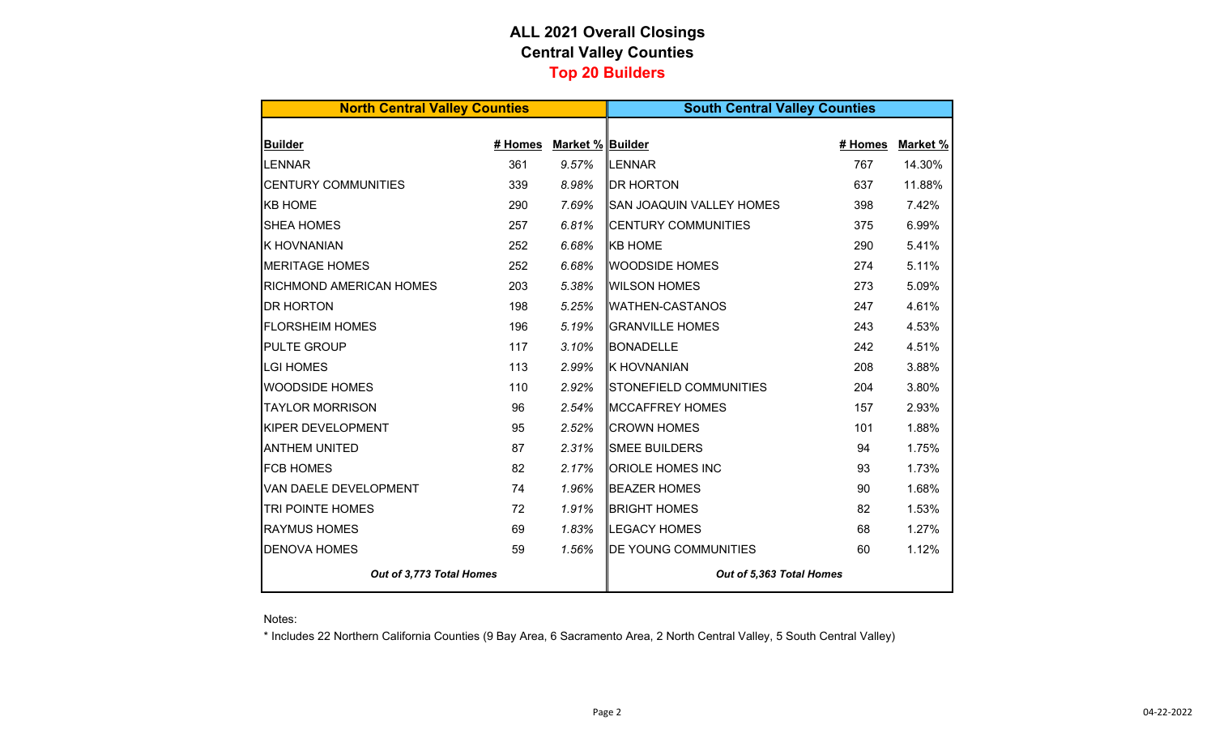## **ALL 2021 Overall Closings Central Valley Counties Top 20 Builders**

| <b>North Central Valley Counties</b> |         |                  | <b>South Central Valley Counties</b> |         |          |  |  |  |  |
|--------------------------------------|---------|------------------|--------------------------------------|---------|----------|--|--|--|--|
|                                      |         |                  |                                      |         |          |  |  |  |  |
| <b>Builder</b>                       | # Homes | Market % Builder |                                      | # Homes | Market % |  |  |  |  |
| <b>LENNAR</b>                        | 361     | 9.57%            | LENNAR                               | 767     | 14.30%   |  |  |  |  |
| <b>CENTURY COMMUNITIES</b>           | 339     | 8.98%            | <b>IDR HORTON</b>                    | 637     | 11.88%   |  |  |  |  |
| <b>KB HOME</b>                       | 290     | 7.69%            | SAN JOAQUIN VALLEY HOMES             | 398     | 7.42%    |  |  |  |  |
| <b>SHEA HOMES</b>                    | 257     | 6.81%            | <b>CENTURY COMMUNITIES</b>           | 375     | 6.99%    |  |  |  |  |
| <b>K HOVNANIAN</b>                   | 252     | 6.68%            | <b>KB HOME</b>                       | 290     | 5.41%    |  |  |  |  |
| <b>MERITAGE HOMES</b>                | 252     | 6.68%            | <b>WOODSIDE HOMES</b>                | 274     | 5.11%    |  |  |  |  |
| <b>RICHMOND AMERICAN HOMES</b>       | 203     | 5.38%            | <b>WILSON HOMES</b>                  | 273     | 5.09%    |  |  |  |  |
| <b>DR HORTON</b>                     | 198     | 5.25%            | <b>WATHEN-CASTANOS</b>               | 247     | 4.61%    |  |  |  |  |
| <b>FLORSHEIM HOMES</b>               | 196     | 5.19%            | <b>GRANVILLE HOMES</b>               | 243     | 4.53%    |  |  |  |  |
| <b>PULTE GROUP</b>                   | 117     | 3.10%            | <b>BONADELLE</b>                     | 242     | 4.51%    |  |  |  |  |
| <b>LGI HOMES</b>                     | 113     | 2.99%            | <b>K HOVNANIAN</b>                   | 208     | 3.88%    |  |  |  |  |
| <b>WOODSIDE HOMES</b>                | 110     | 2.92%            | STONEFIELD COMMUNITIES               | 204     | 3.80%    |  |  |  |  |
| <b>TAYLOR MORRISON</b>               | 96      | 2.54%            | MCCAFFREY HOMES                      | 157     | 2.93%    |  |  |  |  |
| <b>KIPER DEVELOPMENT</b>             | 95      | 2.52%            | <b>CROWN HOMES</b>                   | 101     | 1.88%    |  |  |  |  |
| <b>ANTHEM UNITED</b>                 | 87      | 2.31%            | <b>SMEE BUILDERS</b>                 | 94      | 1.75%    |  |  |  |  |
| <b>FCB HOMES</b>                     | 82      | 2.17%            | <b>ORIOLE HOMES INC</b>              | 93      | 1.73%    |  |  |  |  |
| VAN DAELE DEVELOPMENT                | 74      | 1.96%            | <b>BEAZER HOMES</b>                  | 90      | 1.68%    |  |  |  |  |
| TRI POINTE HOMES                     | 72      | 1.91%            | <b>BRIGHT HOMES</b>                  | 82      | 1.53%    |  |  |  |  |
| <b>RAYMUS HOMES</b>                  | 69      | 1.83%            | <b>LEGACY HOMES</b>                  | 68      | 1.27%    |  |  |  |  |
| <b>DENOVA HOMES</b>                  | 59      | 1.56%            | <b>DE YOUNG COMMUNITIES</b>          | 60      | 1.12%    |  |  |  |  |
| Out of 3,773 Total Homes             |         |                  | Out of 5,363 Total Homes             |         |          |  |  |  |  |

Notes:

\* Includes 22 Northern California Counties (9 Bay Area, 6 Sacramento Area, 2 North Central Valley, 5 South Central Valley)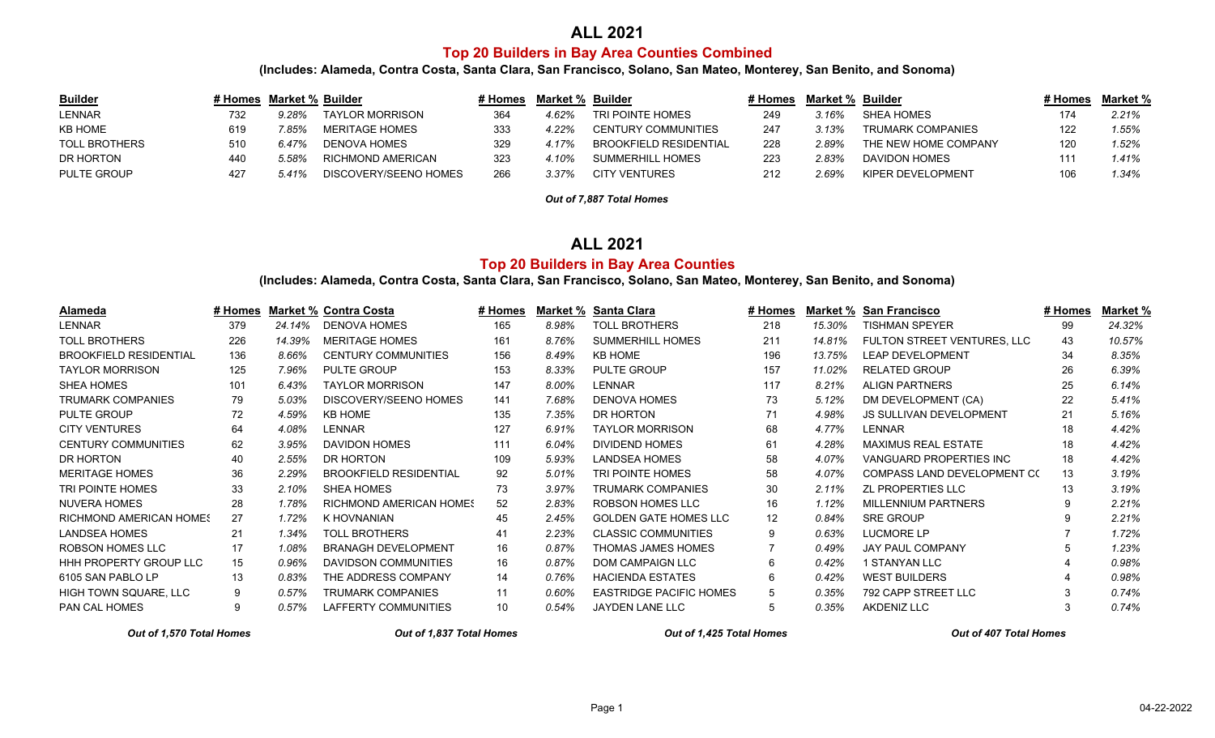## **ALL 2021**

### **Top 20 Builders in Bay Area Counties Combined**

**(Includes: Alameda, Contra Costa, Santa Clara, San Francisco, Solano, San Mateo, Monterey, San Benito, and Sonoma)**

| <b>Builder</b>       |     | # Homes Market % Builder |                       | <i>#</i> Homes⊣ | Market % Builder |                               | # Homes | Market % | Builder              | # Homes | Market % |
|----------------------|-----|--------------------------|-----------------------|-----------------|------------------|-------------------------------|---------|----------|----------------------|---------|----------|
| LENNAR               | 732 | 9.28%                    | TAYLOR MORRISON       | 364             | 1.62%            | TRI POINTE HOMES              | 249     | 3.16%    | SHEA HOMES           |         | 2.21%    |
| <b>KB HOME</b>       | 619 | 85%                      | MERITAGE HOMES        | 333             | 4.22%            | <b>CENTURY COMMUNITIES</b>    | -247    | 3.13%    | TRUMARK COMPANIES    |         | 1.55%    |
| <b>TOLL BROTHERS</b> | 510 | 6.47%                    | DENOVA HOMES          | 329             | .17%             | <b>BROOKFIELD RESIDENTIAL</b> | 228     | 2.89%    | THE NEW HOME COMPANY |         | 1.52%    |
| DR HORTON            | 440 | 5.58%                    | RICHMOND AMERICAN     | 323             | $10\%$           | SUMMERHILL HOMES              | 223     | 2.83%    | DAVIDON HOMES        |         | 1.41%    |
| <b>PULTE GROUP</b>   | 427 | 5.41%                    | DISCOVERY/SEENO HOMES | 266             | <u>3.37%</u>     | <b>CITY VENTURES</b>          | 212     | 2.69%    | KIPER DEVELOPMENT    |         | 1.34%    |

*Out of 7,887 Total Homes*

### **ALL 2021**

#### **Top 20 Builders in Bay Area Counties**

**(Includes: Alameda, Contra Costa, Santa Clara, San Francisco, Solano, San Mateo, Monterey, San Benito, and Sonoma)**

| Alameda                        | # Homes |        | <b>Market % Contra Costa</b>   | # Homes | Market % | <b>Santa Clara</b>             | # Homes         | Market % | <b>San Francisco</b>               | # Homes | Market % |
|--------------------------------|---------|--------|--------------------------------|---------|----------|--------------------------------|-----------------|----------|------------------------------------|---------|----------|
| <b>LENNAR</b>                  | 379     | 24.14% | <b>DENOVA HOMES</b>            | 165     | 8.98%    | <b>TOLL BROTHERS</b>           | 218             | 15.30%   | <b>TISHMAN SPEYER</b>              | 99      | 24.32%   |
| <b>TOLL BROTHERS</b>           | 226     | 14.39% | <b>MERITAGE HOMES</b>          | 161     | 8.76%    | <b>SUMMERHILL HOMES</b>        | 211             | 14.81%   | FULTON STREET VENTURES, LLC        | 43      | 10.57%   |
| <b>BROOKFIELD RESIDENTIAL</b>  | 136     | 8.66%  | <b>CENTURY COMMUNITIES</b>     | 156     | 8.49%    | <b>KB HOME</b>                 | 196             | 13.75%   | <b>LEAP DEVELOPMENT</b>            | 34      | 8.35%    |
| <b>TAYLOR MORRISON</b>         | 125     | 7.96%  | <b>PULTE GROUP</b>             | 153     | 8.33%    | <b>PULTE GROUP</b>             | 157             | 11.02%   | <b>RELATED GROUP</b>               | 26      | 6.39%    |
| <b>SHEA HOMES</b>              | 101     | 6.43%  | <b>TAYLOR MORRISON</b>         | 147     | 8.00%    | <b>LENNAR</b>                  | 117             | 8.21%    | <b>ALIGN PARTNERS</b>              | 25      | 6.14%    |
| <b>TRUMARK COMPANIES</b>       | 79      | 5.03%  | DISCOVERY/SEENO HOMES          | 141     | 7.68%    | <b>DENOVA HOMES</b>            | 73              | 5.12%    | DM DEVELOPMENT (CA)                | 22      | 5.41%    |
| <b>PULTE GROUP</b>             | 72      | 4.59%  | <b>KB HOME</b>                 | 135     | 7.35%    | DR HORTON                      | 71              | 4.98%    | <b>JS SULLIVAN DEVELOPMENT</b>     | 21      | 5.16%    |
| <b>CITY VENTURES</b>           | 64      | 4.08%  | <b>LENNAR</b>                  | 127     | 6.91%    | <b>TAYLOR MORRISON</b>         | 68              | 4.77%    | <b>LENNAR</b>                      | 18      | 4.42%    |
| <b>CENTURY COMMUNITIES</b>     | 62      | 3.95%  | DAVIDON HOMES                  | 111     | 6.04%    | <b>DIVIDEND HOMES</b>          | 61              | 4.28%    | MAXIMUS REAL ESTATE                | 18      | 4.42%    |
| DR HORTON                      | 40      | 2.55%  | DR HORTON                      | 109     | 5.93%    | <b>LANDSEA HOMES</b>           | 58              | 4.07%    | VANGUARD PROPERTIES INC            | 18      | 4.42%    |
| <b>MERITAGE HOMES</b>          | 36      | 2.29%  | <b>BROOKFIELD RESIDENTIAL</b>  | 92      | 5.01%    | TRI POINTE HOMES               | 58              | 4.07%    | <b>COMPASS LAND DEVELOPMENT CO</b> | 13      | 3.19%    |
| TRI POINTE HOMES               | 33      | 2.10%  | <b>SHEA HOMES</b>              | 73      | 3.97%    | <b>TRUMARK COMPANIES</b>       | 30              | 2.11%    | <b>ZL PROPERTIES LLC</b>           | 13      | 3.19%    |
| <b>NUVERA HOMES</b>            | 28      | 1.78%  | <b>RICHMOND AMERICAN HOMES</b> | 52      | 2.83%    | <b>ROBSON HOMES LLC</b>        | 16              | 1.12%    | <b>MILLENNIUM PARTNERS</b>         |         | 2.21%    |
| <b>RICHMOND AMERICAN HOMES</b> | 27      | 1.72%  | K HOVNANIAN                    | 45      | 2.45%    | <b>GOLDEN GATE HOMES LLC</b>   | 12 <sup>2</sup> | 0.84%    | <b>SRE GROUP</b>                   |         | 2.21%    |
| <b>LANDSEA HOMES</b>           | 21      | 1.34%  | <b>TOLL BROTHERS</b>           | 41      | 2.23%    | <b>CLASSIC COMMUNITIES</b>     | 9               | 0.63%    | <b>LUCMORE LP</b>                  |         | 1.72%    |
| ROBSON HOMES LLC               | 17      | 1.08%  | <b>BRANAGH DEVELOPMENT</b>     | 16      | 0.87%    | <b>THOMAS JAMES HOMES</b>      |                 | 0.49%    | <b>JAY PAUL COMPANY</b>            |         | 1.23%    |
| <b>HHH PROPERTY GROUP LLC</b>  | 15      | 0.96%  | <b>DAVIDSON COMMUNITIES</b>    | 16      | 0.87%    | <b>DOM CAMPAIGN LLC</b>        | 6               | 0.42%    | <b>1 STANYAN LLC</b>               |         | 0.98%    |
| 6105 SAN PABLO LP              | 13      | 0.83%  | THE ADDRESS COMPANY            | 14      | 0.76%    | <b>HACIENDA ESTATES</b>        | 6               | 0.42%    | <b>WEST BUILDERS</b>               |         | 0.98%    |
| HIGH TOWN SQUARE, LLC          | 9       | 0.57%  | TRUMARK COMPANIES              | 11      | 0.60%    | <b>EASTRIDGE PACIFIC HOMES</b> | 5               | 0.35%    | 792 CAPP STREET LLC                |         | 0.74%    |
| PAN CAL HOMES                  | 9       | 0.57%  | <b>LAFFERTY COMMUNITIES</b>    | 10      | 0.54%    | <b>JAYDEN LANE LLC</b>         | 5               | 0.35%    | <b>AKDENIZ LLC</b>                 |         | 0.74%    |

*Out of 1,570 Total Homes Out of 1,837 Total Homes Out of 1,425 Total Homes Out of 407 Total Homes*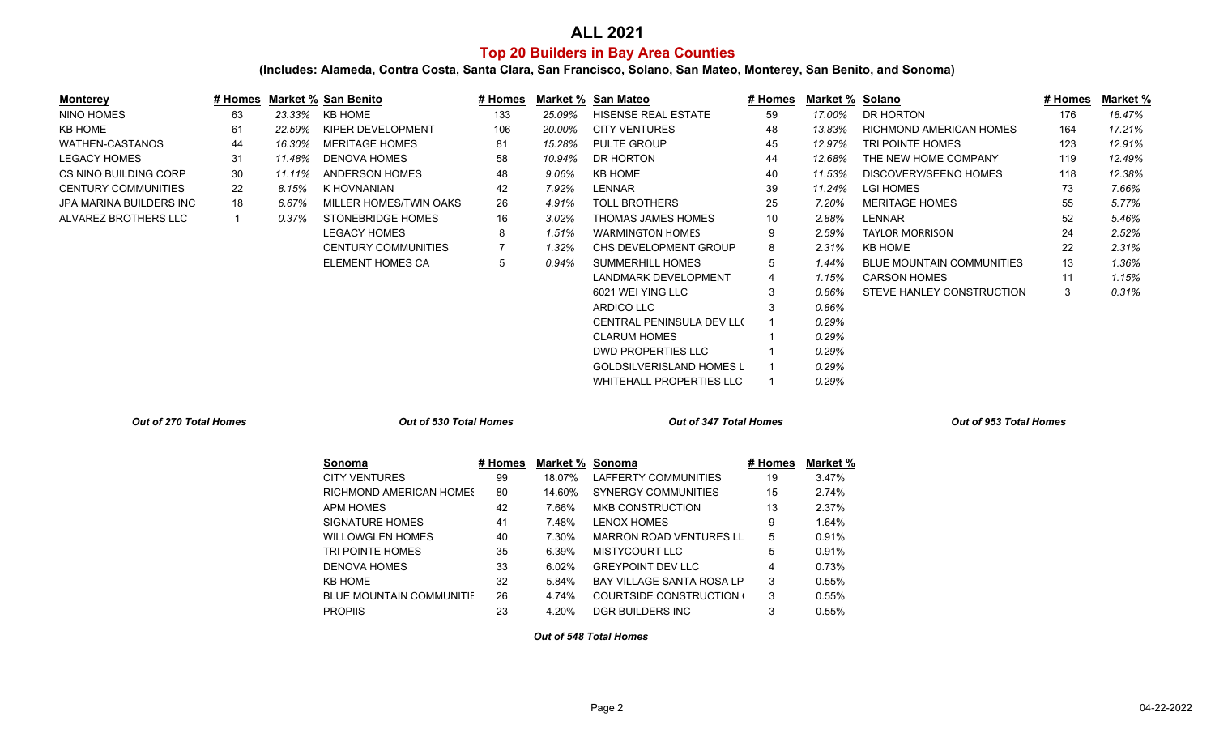## **Top 20 Builders in Bay Area Counties ALL 2021**

**(Includes: Alameda, Contra Costa, Santa Clara, San Francisco, Solano, San Mateo, Monterey, San Benito, and Sonoma)**

| <b>Monterey</b>                |                |        | # Homes Market % San Benito     | # Homes        |                 | Market % San Mateo               | # Homes | Market % Solano |                                  | # Homes | <b>Market %</b> |
|--------------------------------|----------------|--------|---------------------------------|----------------|-----------------|----------------------------------|---------|-----------------|----------------------------------|---------|-----------------|
| <b>NINO HOMES</b>              | 63             | 23.33% | <b>KB HOME</b>                  | 133            | 25.09%          | HISENSE REAL ESTATE              | 59      | 17.00%          | DR HORTON                        | 176     | 18.47%          |
| <b>KB HOME</b>                 | 61             | 22.59% | KIPER DEVELOPMENT               | 106            | 20.00%          | <b>CITY VENTURES</b>             | 48      | 13.83%          | RICHMOND AMERICAN HOMES          | 164     | 17.21%          |
| <b>WATHEN-CASTANOS</b>         | 44             | 16.30% | <b>MERITAGE HOMES</b>           | 81             | 15.28%          | PULTE GROUP                      | 45      | 12.97%          | TRI POINTE HOMES                 | 123     | 12.91%          |
| <b>LEGACY HOMES</b>            | 31             | 11.48% | <b>DENOVA HOMES</b>             | 58             | 10.94%          | DR HORTON                        | 44      | 12.68%          | THE NEW HOME COMPANY             | 119     | 12.49%          |
| CS NINO BUILDING CORP          | 30             | 11.11% | <b>ANDERSON HOMES</b>           | 48             | 9.06%           | <b>KB HOME</b>                   | 40      | 11.53%          | DISCOVERY/SEENO HOMES            | 118     | 12.38%          |
| <b>CENTURY COMMUNITIES</b>     | 22             | 8.15%  | K HOVNANIAN                     | 42             | 7.92%           | LENNAR                           | 39      | 11.24%          | <b>LGI HOMES</b>                 | 73      | 7.66%           |
| <b>JPA MARINA BUILDERS INC</b> | 18             | 6.67%  | MILLER HOMES/TWIN OAKS          | 26             | 4.91%           | <b>TOLL BROTHERS</b>             | 25      | 7.20%           | <b>MERITAGE HOMES</b>            | 55      | 5.77%           |
| ALVAREZ BROTHERS LLC           | $\overline{1}$ | 0.37%  | <b>STONEBRIDGE HOMES</b>        | 16             | 3.02%           | THOMAS JAMES HOMES               | 10      | 2.88%           | <b>LENNAR</b>                    | 52      | 5.46%           |
|                                |                |        | <b>LEGACY HOMES</b>             | 8              | 1.51%           | <b>WARMINGTON HOMES</b>          | 9       | 2.59%           | <b>TAYLOR MORRISON</b>           | 24      | 2.52%           |
|                                |                |        | <b>CENTURY COMMUNITIES</b>      | $\overline{7}$ | 1.32%           | CHS DEVELOPMENT GROUP            | 8       | 2.31%           | <b>KB HOME</b>                   | 22      | 2.31%           |
|                                |                |        | <b>ELEMENT HOMES CA</b>         | 5              | 0.94%           | <b>SUMMERHILL HOMES</b>          | 5       | 1.44%           | <b>BLUE MOUNTAIN COMMUNITIES</b> | 13      | 1.36%           |
|                                |                |        |                                 |                |                 | <b>LANDMARK DEVELOPMENT</b>      | 4       | 1.15%           | <b>CARSON HOMES</b>              | 11      | 1.15%           |
|                                |                |        |                                 |                |                 | 6021 WEI YING LLC                | 3       | 0.86%           | <b>STEVE HANLEY CONSTRUCTION</b> | 3       | 0.31%           |
|                                |                |        |                                 |                |                 | <b>ARDICO LLC</b>                | 3       | 0.86%           |                                  |         |                 |
|                                |                |        |                                 |                |                 | <b>CENTRAL PENINSULA DEV LLO</b> |         | 0.29%           |                                  |         |                 |
|                                |                |        |                                 |                |                 | <b>CLARUM HOMES</b>              |         | 0.29%           |                                  |         |                 |
|                                |                |        |                                 |                |                 | <b>DWD PROPERTIES LLC</b>        |         | 0.29%           |                                  |         |                 |
|                                |                |        |                                 |                |                 | <b>GOLDSILVERISLAND HOMES L</b>  |         | 0.29%           |                                  |         |                 |
|                                |                |        |                                 |                |                 | <b>WHITEHALL PROPERTIES LLC</b>  |         | 0.29%           |                                  |         |                 |
| Out of 270 Total Homes         |                |        | Out of 530 Total Homes          |                |                 | Out of 347 Total Homes           |         |                 | Out of 953 Total Homes           |         |                 |
|                                |                |        | Sonoma                          | # Homes        | Market % Sonoma |                                  | # Homes | Market %        |                                  |         |                 |
|                                |                |        | <b>CITY VENTURES</b>            | 99             | 18.07%          | LAFFERTY COMMUNITIES             | 19      | 3.47%           |                                  |         |                 |
|                                |                |        | RICHMOND AMERICAN HOMES         | 80             | 14.60%          | <b>SYNERGY COMMUNITIES</b>       | 15      | 2.74%           |                                  |         |                 |
|                                |                |        | <b>APM HOMES</b>                | 42             | 7.66%           | <b>MKB CONSTRUCTION</b>          | 13      | 2.37%           |                                  |         |                 |
|                                |                |        | <b>SIGNATURE HOMES</b>          | 41             | 7.48%           | <b>LENOX HOMES</b>               | 9       | 1.64%           |                                  |         |                 |
|                                |                |        | <b>WILLOWGLEN HOMES</b>         | 40             | 7.30%           | <b>MARRON ROAD VENTURES LL</b>   | 5       | 0.91%           |                                  |         |                 |
|                                |                |        | TRI POINTE HOMES                | 35             | 6.39%           | <b>MISTYCOURT LLC</b>            | 5       | 0.91%           |                                  |         |                 |
|                                |                |        | <b>DENOVA HOMES</b>             | 33             | 6.02%           | <b>GREYPOINT DEV LLC</b>         |         | 0.73%           |                                  |         |                 |
|                                |                |        | <b>KB HOME</b>                  | 32             | 5.84%           | BAY VILLAGE SANTA ROSA LP        | 3       | 0.55%           |                                  |         |                 |
|                                |                |        | <b>BLUE MOUNTAIN COMMUNITIE</b> | 26             | 4.74%           | <b>COURTSIDE CONSTRUCTION</b>    | 3       | 0.55%           |                                  |         |                 |
|                                |                |        | <b>PROPIIS</b>                  | 23             | 4.20%           | DGR BUILDERS INC                 | 3       | 0.55%           |                                  |         |                 |

*Out of 548 Total Homes*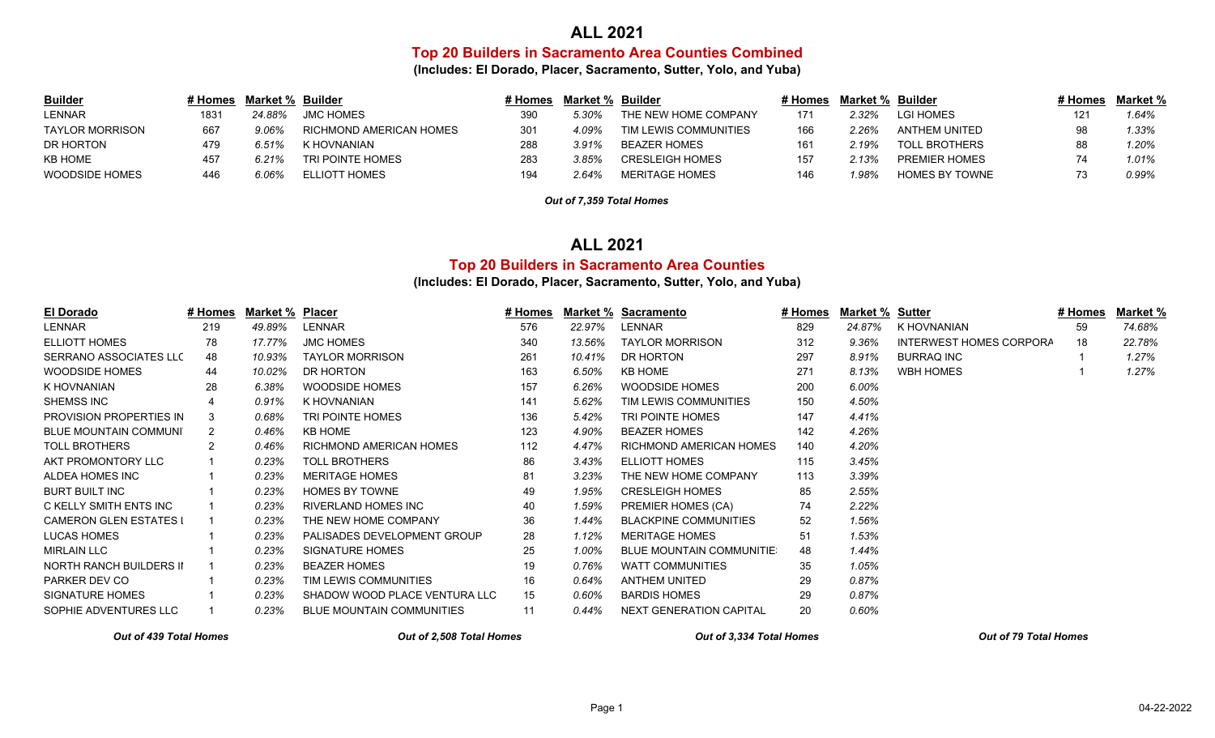#### **ALL 2021**

**Top 20 Builders in Sacramento Area Counties Combined**

**(Includes: El Dorado, Placer, Sacramento, Sutter, Yolo, and Yuba)**

| <b>Builder</b>  | # Homes | Market % Builder |                         | # Homes | Market % | Builder                | # Homes | Market % Builder |                      | ∦ Homes | Market % |
|-----------------|---------|------------------|-------------------------|---------|----------|------------------------|---------|------------------|----------------------|---------|----------|
| <b>LENNAR</b>   | 1831    | 24.88%           | <b>JMC HOMES</b>        | 390     | 5.30%    | THE NEW HOME COMPANY   | 171     | $2.32\%$         | LGI HOMES            |         | 1.64%    |
| TAYLOR MORRISON | 667     | 9.06%            | RICHMOND AMERICAN HOMES | 301     | 4.09%    | TIM LEWIS COMMUNITIES  | 166     | 2.26%            | ANTHEM UNITED        | 98      | 1.33%    |
| DR HORTON       | 479     | 6.51%            | K HOVNANIAN             | 288     | 3.91%    | BEAZER HOMES           | 161     | $2.19\%$         | TOLL BROTHERS        |         | 1.20%    |
| <b>KB HOME</b>  | 457     | 6.21%            | TRI POINTE HOMES        | 283     | 3.85%    | <b>CRESLEIGH HOMES</b> | 157     | 2.13%            | <b>PREMIER HOMES</b> |         | 1.01%    |
| WOODSIDE HOMES  | 446     | 6.06%            | ELLIOTT HOMES           | 194     | 2.64%    | <b>MERITAGE HOMES</b>  | 146     | ' 98%            | HOMES BY TOWNE       |         | 0.99%    |

*Out of 7,359 Total Homes*

### **ALL 2021**

### **Top 20 Builders in Sacramento Area Counties**

#### **(Includes: El Dorado, Placer, Sacramento, Sutter, Yolo, and Yuba)**

| El Dorado                      | # Homes        | Market % Placer |                                  | # Homes | Market % | <b>Sacramento</b>                | # Homes | Market % | Sutter                  | # Homes | Market % |
|--------------------------------|----------------|-----------------|----------------------------------|---------|----------|----------------------------------|---------|----------|-------------------------|---------|----------|
| LENNAR                         | 219            | 49.89%          | LENNAR                           | 576     | 22.97%   | LENNAR                           | 829     | 24.87%   | K HOVNANIAN             | 59      | 74.68%   |
| <b>ELLIOTT HOMES</b>           | 78             | 17.77%          | <b>JMC HOMES</b>                 | 340     | 13.56%   | <b>TAYLOR MORRISON</b>           | 312     | 9.36%    | INTERWEST HOMES CORPORA | 18      | 22.78%   |
| SERRANO ASSOCIATES LLC         | 48             | 10.93%          | <b>TAYLOR MORRISON</b>           | 261     | 10.41%   | DR HORTON                        | 297     | 8.91%    | <b>BURRAQ INC</b>       |         | 1.27%    |
| WOODSIDE HOMES                 | 44             | 10.02%          | DR HORTON                        | 163     | 6.50%    | <b>KB HOME</b>                   | 271     | 8.13%    | WBH HOMES               |         | 1.27%    |
| K HOVNANIAN                    | 28             | 6.38%           | WOODSIDE HOMES                   | 157     | 6.26%    | WOODSIDE HOMES                   | 200     | 6.00%    |                         |         |          |
| SHEMSS INC                     |                | 0.91%           | K HOVNANIAN                      | 141     | 5.62%    | TIM LEWIS COMMUNITIES            | 150     | 4.50%    |                         |         |          |
| <b>PROVISION PROPERTIES IN</b> | 3              | 0.68%           | TRI POINTE HOMES                 | 136     | 5.42%    | TRI POINTE HOMES                 | 147     | 4.41%    |                         |         |          |
| <b>BLUE MOUNTAIN COMMUNI</b>   | 2              | 0.46%           | KB HOME                          | 123     | 4.90%    | <b>BEAZER HOMES</b>              | 142     | 4.26%    |                         |         |          |
| <b>TOLL BROTHERS</b>           | $\overline{2}$ | 0.46%           | RICHMOND AMERICAN HOMES          | 112     | 4.47%    | RICHMOND AMERICAN HOMES          | 140     | 4.20%    |                         |         |          |
| AKT PROMONTORY LLC             |                | 0.23%           | <b>TOLL BROTHERS</b>             | 86      | 3.43%    | <b>ELLIOTT HOMES</b>             | 115     | 3.45%    |                         |         |          |
| ALDEA HOMES INC                |                | 0.23%           | <b>MERITAGE HOMES</b>            | 81      | 3.23%    | THE NEW HOME COMPANY             | 113     | 3.39%    |                         |         |          |
| <b>BURT BUILT INC</b>          |                | 0.23%           | <b>HOMES BY TOWNE</b>            | 49      | 1.95%    | <b>CRESLEIGH HOMES</b>           | 85      | 2.55%    |                         |         |          |
| C KELLY SMITH ENTS INC         |                | 0.23%           | <b>RIVERLAND HOMES INC</b>       | 40      | 1.59%    | PREMIER HOMES (CA)               | 74      | 2.22%    |                         |         |          |
| <b>CAMERON GLEN ESTATES I</b>  |                | 0.23%           | THE NEW HOME COMPANY             | 36      | 1.44%    | <b>BLACKPINE COMMUNITIES</b>     | 52      | 1.56%    |                         |         |          |
| <b>LUCAS HOMES</b>             |                | 0.23%           | PALISADES DEVELOPMENT GROUP      | 28      | 1.12%    | <b>MERITAGE HOMES</b>            | 51      | 1.53%    |                         |         |          |
| <b>MIRLAIN LLC</b>             |                | 0.23%           | <b>SIGNATURE HOMES</b>           | 25      | 1.00%    | <b>BLUE MOUNTAIN COMMUNITIE:</b> | 48      | 1.44%    |                         |         |          |
| NORTH RANCH BUILDERS II        |                | 0.23%           | <b>BEAZER HOMES</b>              | 19      | 0.76%    | WATT COMMUNITIES                 | 35      | 1.05%    |                         |         |          |
| PARKER DEV CO                  |                | 0.23%           | TIM LEWIS COMMUNITIES            | 16      | 0.64%    | <b>ANTHEM UNITED</b>             | 29      | 0.87%    |                         |         |          |
| SIGNATURE HOMES                |                | 0.23%           | SHADOW WOOD PLACE VENTURA LLC    | 15      | 0.60%    | <b>BARDIS HOMES</b>              | 29      | 0.87%    |                         |         |          |
| SOPHIE ADVENTURES LLC          |                | 0.23%           | <b>BLUE MOUNTAIN COMMUNITIES</b> | 11      | 0.44%    | NEXT GENERATION CAPITAL          | 20      | 0.60%    |                         |         |          |

*Out of 439 Total Homes Out of 2,508 Total Homes Out of 3,334 Total Homes Out of 79 Total Homes*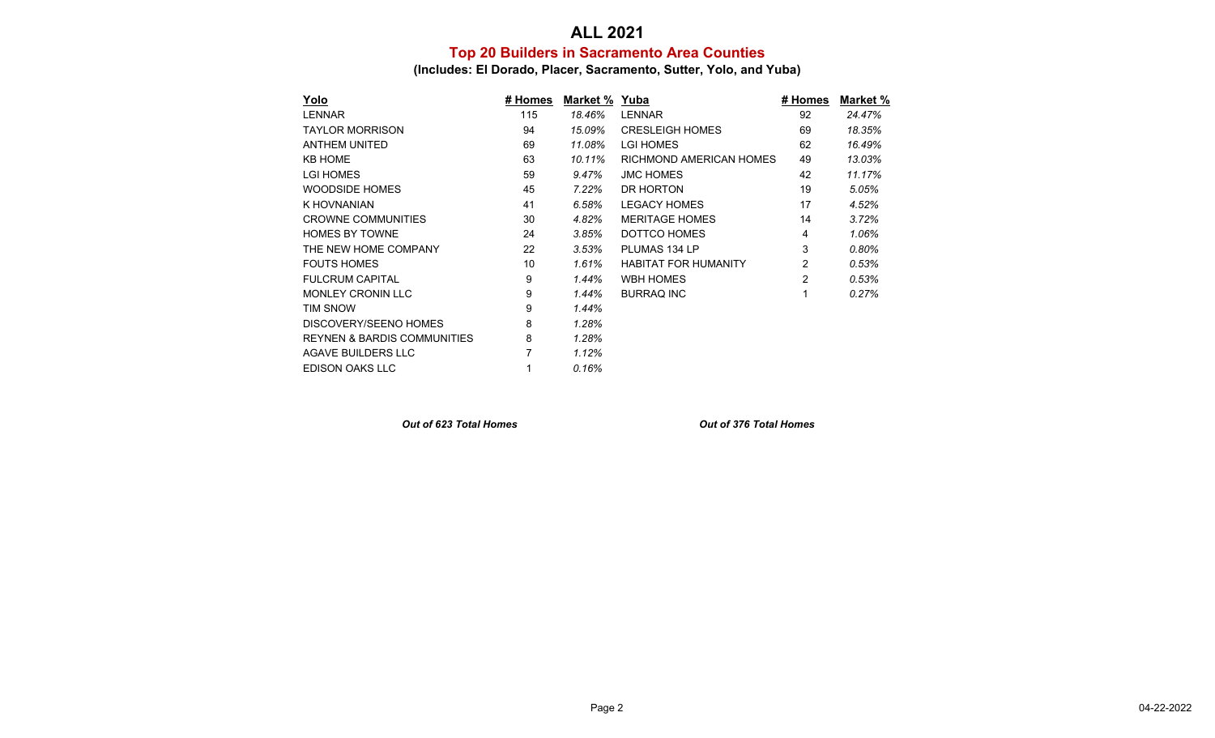## **Top 20 Builders in Sacramento Area Counties ALL 2021**

**(Includes: El Dorado, Placer, Sacramento, Sutter, Yolo, and Yuba)**

| <u>Yolo</u>                            | # Homes | Market % Yuba |                             | # Homes | Market % |
|----------------------------------------|---------|---------------|-----------------------------|---------|----------|
| <b>LENNAR</b>                          | 115     | 18.46%        | <b>LENNAR</b>               | 92      | 24.47%   |
| <b>TAYLOR MORRISON</b>                 | 94      | 15.09%        | <b>CRESLEIGH HOMES</b>      | 69      | 18.35%   |
| <b>ANTHEM UNITED</b>                   | 69      | 11.08%        | LGI HOMES                   | 62      | 16.49%   |
| <b>KB HOME</b>                         | 63      | 10.11%        | RICHMOND AMERICAN HOMES     | 49      | 13.03%   |
| <b>LGI HOMES</b>                       | 59      | 9.47%         | <b>JMC HOMES</b>            | 42      | 11.17%   |
| WOODSIDE HOMES                         | 45      | 7.22%         | DR HORTON                   | 19      | 5.05%    |
| K HOVNANIAN                            | 41      | 6.58%         | <b>LEGACY HOMES</b>         | 17      | 4.52%    |
| <b>CROWNE COMMUNITIES</b>              | 30      | 4.82%         | <b>MERITAGE HOMES</b>       | 14      | 3.72%    |
| <b>HOMES BY TOWNE</b>                  | 24      | 3.85%         | DOTTCO HOMES                | 4       | 1.06%    |
| THE NEW HOME COMPANY                   | 22      | 3.53%         | PLUMAS 134 LP               | 3       | $0.80\%$ |
| <b>FOUTS HOMES</b>                     | 10      | 1.61%         | <b>HABITAT FOR HUMANITY</b> | 2       | 0.53%    |
| <b>FULCRUM CAPITAL</b>                 | 9       | 1.44%         | <b>WBH HOMES</b>            | 2       | 0.53%    |
| <b>MONLEY CRONIN LLC</b>               | 9       | 1.44%         | <b>BURRAQ INC</b>           | 1       | 0.27%    |
| <b>TIM SNOW</b>                        | 9       | 1.44%         |                             |         |          |
| DISCOVERY/SEENO HOMES                  | 8       | 1.28%         |                             |         |          |
| <b>REYNEN &amp; BARDIS COMMUNITIES</b> | 8       | 1.28%         |                             |         |          |
| AGAVE BUILDERS LLC                     |         | 1.12%         |                             |         |          |
| EDISON OAKS LLC                        |         | 0.16%         |                             |         |          |

*Out of 623 Total Homes Out of 376 Total Homes*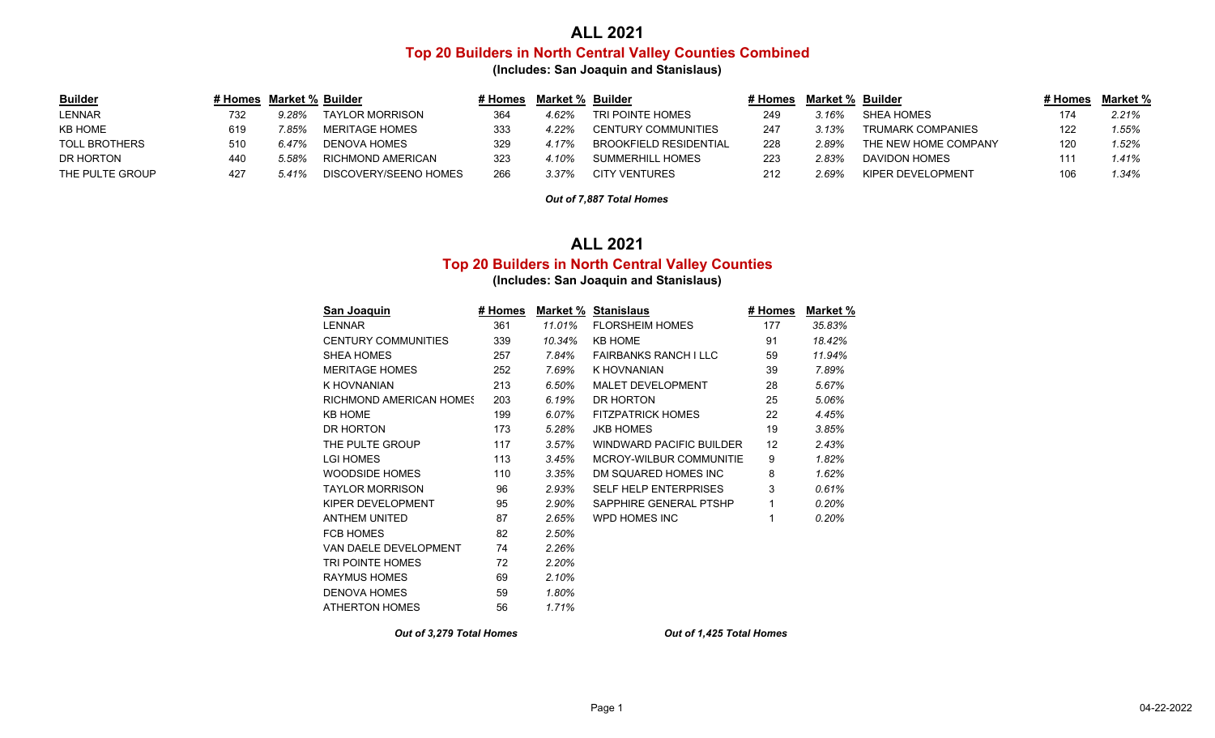# **ALL 2021 Top 20 Builders in North Central Valley Counties Combined**

**(Includes: San Joaquin and Stanislaus)**

| <b>Builder</b>       | # Homes | Market % Builder |                       | # Homes | Market % | Builder                       | # Homes | Market % | ⊦ Builder                | # Homes | Market % |
|----------------------|---------|------------------|-----------------------|---------|----------|-------------------------------|---------|----------|--------------------------|---------|----------|
| <b>LENNAR</b>        | 732     | 9.28%            | TAYLOR MORRISON       | 364     | 4.62%    | TRI POINTE HOMES              |         | 3.16%    | SHEA HOMES               |         | 2.21%    |
| <b>KB HOME</b>       | 619     | $.85\%$          | MERITAGE HOMES        | 333     | 4.22%    | CENTURY COMMUNITIES           | 247     | 3.13%    | <b>TRUMARK COMPANIES</b> | 122     | .55%     |
| <b>TOLL BROTHERS</b> | 510     | 6.47%            | DENOVA HOMES          | 329     | 4.17%    | <b>BROOKFIELD RESIDENTIAL</b> | 228     | 2.89%    | THE NEW HOME COMPANY     | 120     | $1.52\%$ |
| DR HORTON            | 440     | 5.58%            | RICHMOND AMERICAN     | 323     | 4.10%    | SUMMERHILL HOMES              |         | $2.83\%$ | DAVIDON HOMES            |         | $1.41\%$ |
| THE PULTE GROUP      | 427     | 5.41%            | DISCOVERY/SEENO HOMES | 266     | 3.37%    | <b>CITY VENTURES</b>          | 212     | $2.69\%$ | KIPER DEVELOPMENT        | 106     | .34%     |

*Out of 7,887 Total Homes*

### **ALL 2021**

### **Top 20 Builders in North Central Valley Counties**

**(Includes: San Joaquin and Stanislaus)**

| San Joaquin                    | # Homes |        | <b>Market % Stanislaus</b>      | # Homes | Market % |
|--------------------------------|---------|--------|---------------------------------|---------|----------|
| <b>LENNAR</b>                  | 361     | 11.01% | <b>FLORSHEIM HOMES</b>          | 177     | 35.83%   |
| <b>CENTURY COMMUNITIES</b>     | 339     | 10.34% | <b>KB HOME</b>                  | 91      | 18.42%   |
| SHEA HOMES                     | 257     | 7.84%  | FAIRBANKS RANCH IIIC            | 59      | 11.94%   |
| <b>MERITAGE HOMES</b>          | 252     | 7.69%  | K HOVNANIAN                     | 39      | 7.89%    |
| K HOVNANIAN                    | 213     | 6.50%  | <b>MALET DEVELOPMENT</b>        | 28      | 5.67%    |
| <b>RICHMOND AMERICAN HOMES</b> | 203     | 6.19%  | DR HORTON                       | 25      | 5.06%    |
| <b>KB HOME</b>                 | 199     | 6.07%  | <b>FITZPATRICK HOMES</b>        | 22      | 4.45%    |
| DR HORTON                      | 173     | 5.28%  | <b>JKB HOMES</b>                | 19      | 3.85%    |
| THE PULTE GROUP                | 117     | 3.57%  | <b>WINDWARD PACIFIC BUILDER</b> | 12      | 2.43%    |
| <b>LGI HOMES</b>               | 113     | 3.45%  | MCROY-WILBUR COMMUNITIE         | 9       | 1.82%    |
| <b>WOODSIDE HOMES</b>          | 110     | 3.35%  | DM SQUARED HOMES INC            | 8       | 1.62%    |
| <b>TAYLOR MORRISON</b>         | 96      | 2.93%  | <b>SELF HELP ENTERPRISES</b>    | 3       | 0.61%    |
| KIPER DEVELOPMENT              | 95      | 2.90%  | SAPPHIRE GENERAL PTSHP          | 1       | 0.20%    |
| <b>ANTHEM UNITED</b>           | 87      | 2.65%  | WPD HOMES INC                   |         | 0.20%    |
| <b>FCB HOMES</b>               | 82      | 2.50%  |                                 |         |          |
| VAN DAELE DEVELOPMENT          | 74      | 2.26%  |                                 |         |          |
| <b>TRI POINTE HOMES</b>        | 72      | 2.20%  |                                 |         |          |
| <b>RAYMUS HOMES</b>            | 69      | 2.10%  |                                 |         |          |
| <b>DENOVA HOMES</b>            | 59      | 1.80%  |                                 |         |          |
| <b>ATHERTON HOMES</b>          | 56      | 1.71%  |                                 |         |          |
|                                |         |        |                                 |         |          |

*Out of 3,279 Total Homes Out of 1,425 Total Homes*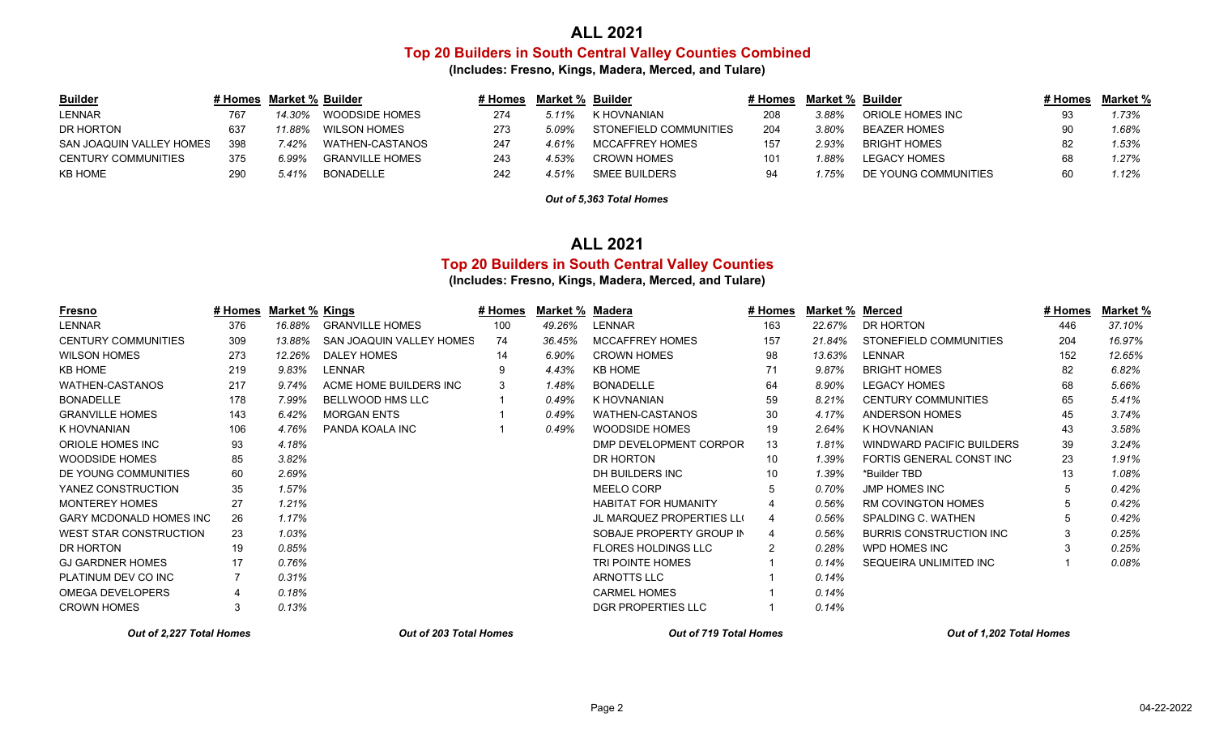# **Top 20 Builders in South Central Valley Counties Combined ALL 2021**

**(Includes: Fresno, Kings, Madera, Merced, and Tulare)**

| <b>Builder</b>           |     | # Homes Market % Builder |                        | ⊧ Homes | Market % | Builder                | ♯ Homes         | Market % Builder |                      | # Homes | Market % |
|--------------------------|-----|--------------------------|------------------------|---------|----------|------------------------|-----------------|------------------|----------------------|---------|----------|
| <b>LENNAR</b>            | 767 | 14.30%                   | WOODSIDE HOMES         | 274     | 5.11%    | K HOVNANIAN            |                 | 3.88%            | ORIOLE HOMES INC     |         | 1.73%    |
| DR HORTON                | 637 | $1.88\%$                 | WILSON HOMES           | 273     | 5.09%    | STONEFIELD COMMUNITIES | 204             | 3.80%            | BEAZER HOMES         |         | 1.68%    |
| SAN JOAQUIN VALLEY HOMES | 398 | .42%                     | WATHEN-CASTANOS        | 247     | 4.61%    | MCCAFFREY HOMES        |                 | 2.93%            | <b>BRIGHT HOMES</b>  |         | 1.53%    |
| CENTURY COMMUNITIES      | 375 | 6.99%                    | <b>GRANVILLE HOMES</b> | 243     | 4.53%    | <b>CROWN HOMES</b>     | 10 <sup>1</sup> | $^{\prime}$ 88%  | <b>LEGACY HOMES</b>  |         | 1.27%    |
| <b>KB HOME</b>           | 290 | 5.41%                    | BONADELLE              | 242     | 4.51%    | SMEE BUILDERS          | 94              | .75%             | DE YOUNG COMMUNITIES |         | 1.12%    |

*Out of 5,363 Total Homes*

#### **ALL 2021**

#### **Top 20 Builders in South Central Valley Counties**

**(Includes: Fresno, Kings, Madera, Merced, and Tulare)**

| <u>Fresno</u>                  | # Homes | Market % Kings |                          | # Homes | Market % Madera |                                  | <u># Homes</u> | Market % Merced |                                | # Homes | Market % |
|--------------------------------|---------|----------------|--------------------------|---------|-----------------|----------------------------------|----------------|-----------------|--------------------------------|---------|----------|
| <b>LENNAR</b>                  | 376     | 16.88%         | <b>GRANVILLE HOMES</b>   | 100     | 49.26%          | <b>LENNAR</b>                    | 163            | 22.67%          | DR HORTON                      | 446     | 37.10%   |
| <b>CENTURY COMMUNITIES</b>     | 309     | 13.88%         | SAN JOAQUIN VALLEY HOMES | 74      | 36.45%          | <b>MCCAFFREY HOMES</b>           | 157            | 21.84%          | STONEFIELD COMMUNITIES         | 204     | 16.97%   |
| <b>WILSON HOMES</b>            | 273     | 12.26%         | DALEY HOMES              | 14      | 6.90%           | <b>CROWN HOMES</b>               | 98             | 13.63%          | LENNAR                         | 152     | 12.65%   |
| <b>KB HOME</b>                 | 219     | 9.83%          | <b>LENNAR</b>            | 9       | 4.43%           | <b>KB HOME</b>                   | 71             | 9.87%           | <b>BRIGHT HOMES</b>            | 82      | 6.82%    |
| <b>WATHEN-CASTANOS</b>         | 217     | 9.74%          | ACME HOME BUILDERS INC   | 3       | 1.48%           | <b>BONADELLE</b>                 | 64             | 8.90%           | <b>LEGACY HOMES</b>            | 68      | 5.66%    |
| <b>BONADELLE</b>               | 178     | 7.99%          | <b>BELLWOOD HMS LLC</b>  |         | 0.49%           | K HOVNANIAN                      | 59             | 8.21%           | <b>CENTURY COMMUNITIES</b>     | 65      | 5.41%    |
| <b>GRANVILLE HOMES</b>         | 143     | 6.42%          | <b>MORGAN ENTS</b>       |         | 0.49%           | WATHEN-CASTANOS                  | 30             | 4.17%           | ANDERSON HOMES                 | 45      | 3.74%    |
| K HOVNANIAN                    | 106     | 4.76%          | PANDA KOALA INC          |         | 0.49%           | WOODSIDE HOMES                   | 19             | 2.64%           | K HOVNANIAN                    | 43      | 3.58%    |
| ORIOLE HOMES INC               | 93      | 4.18%          |                          |         |                 | DMP DEVELOPMENT CORPOR           | 13             | 1.81%           | WINDWARD PACIFIC BUILDERS      | 39      | 3.24%    |
| WOODSIDE HOMES                 | 85      | 3.82%          |                          |         |                 | DR HORTON                        | 10             | 1.39%           | FORTIS GENERAL CONST INC       | 23      | 1.91%    |
| DE YOUNG COMMUNITIES           | 60      | 2.69%          |                          |         |                 | DH BUILDERS INC                  | 10             | 1.39%           | *Builder TBD                   | 13      | 1.08%    |
| YANEZ CONSTRUCTION             | 35      | 1.57%          |                          |         |                 | <b>MEELO CORP</b>                |                | 0.70%           | <b>JMP HOMES INC</b>           | 5       | 0.42%    |
| <b>MONTEREY HOMES</b>          | 27      | 1.21%          |                          |         |                 | <b>HABITAT FOR HUMANITY</b>      |                | 0.56%           | <b>RM COVINGTON HOMES</b>      | 5       | 0.42%    |
| <b>GARY MCDONALD HOMES INC</b> | 26      | 1.17%          |                          |         |                 | <b>JL MARQUEZ PROPERTIES LLI</b> |                | 0.56%           | SPALDING C. WATHEN             |         | 0.42%    |
| WEST STAR CONSTRUCTION         | 23      | 1.03%          |                          |         |                 | SOBAJE PROPERTY GROUP IN         |                | 0.56%           | <b>BURRIS CONSTRUCTION INC</b> | 3       | 0.25%    |
| DR HORTON                      | 19      | 0.85%          |                          |         |                 | <b>FLORES HOLDINGS LLC</b>       | 2              | 0.28%           | WPD HOMES INC                  |         | 0.25%    |
| <b>GJ GARDNER HOMES</b>        | 17      | 0.76%          |                          |         |                 | TRI POINTE HOMES                 |                | 0.14%           | <b>SEQUEIRA UNLIMITED INC</b>  |         | 0.08%    |
| PLATINUM DEV CO INC            |         | 0.31%          |                          |         |                 | ARNOTTS LLC                      |                | 0.14%           |                                |         |          |
| OMEGA DEVELOPERS               | 4       | 0.18%          |                          |         |                 | <b>CARMEL HOMES</b>              |                | 0.14%           |                                |         |          |
| <b>CROWN HOMES</b>             | 3       | 0.13%          |                          |         |                 | DGR PROPERTIES LLC               |                | 0.14%           |                                |         |          |
| Out of 2.227 Total Homes       |         |                | Out of 203 Total Homes   |         |                 | Out of 719 Total Homes           |                |                 | Out of 1,202 Total Homes       |         |          |

Page 2 04-22-2022